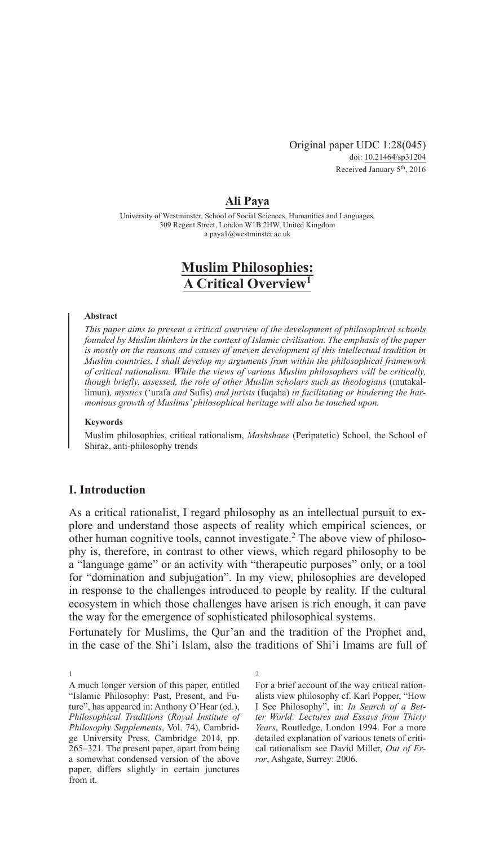Original paper UDC 1:28(045) doi: [10.21464/sp31204](https://doi.org/10.21464/sp31204) Received January 5th, 2016

## **Ali Paya**

University of Westminster, School of Social Sciences, Humanities and Languages, 309 Regent Street, London W1B 2HW, United Kingdom a.paya1@westminster.ac.uk

# **Muslim Philosophies: A Critical Overview1**

### **Abstract**

*This paper aims to present a critical overview of the development of philosophical schools founded by Muslim thinkers in the context of Islamic civilisation. The emphasis of the paper is mostly on the reasons and causes of uneven development of this intellectual tradition in Muslim countries. I shall develop my arguments from within the philosophical framework of critical rationalism. While the views of various Muslim philosophers will be critically, though briefly, assessed, the role of other Muslim scholars such as theologians* (mutakallimun)*, mystics* ('urafa *and* Sufis) *and jurists* (fuqaha) *in facilitating or hindering the harmonious growth of Muslims' philosophical heritage will also be touched upon.*

### **Keywords**

Muslim philosophies, critical rationalism, *Mashshaee* (Peripatetic) School, the School of Shiraz, anti-philosophy trends

## **I. Introduction**

As a critical rationalist, I regard philosophy as an intellectual pursuit to explore and understand those aspects of reality which empirical sciences, or other human cognitive tools, cannot investigate.<sup>2</sup> The above view of philosophy is, therefore, in contrast to other views, which regard philosophy to be a "language game" or an activity with "therapeutic purposes" only, or a tool for "domination and subjugation". In my view, philosophies are developed in response to the challenges introduced to people by reality. If the cultural ecosystem in which those challenges have arisen is rich enough, it can pave the way for the emergence of sophisticated philosophical systems.

Fortunately for Muslims, the Qur'an and the tradition of the Prophet and, in the case of the Shi'i Islam, also the traditions of Shi'i Imams are full of

2

<sup>1</sup> A much longer version of this paper, entitled "Islamic Philosophy: Past, Present, and Future", has appeared in: Anthony O'Hear (ed.), *Philosophical Traditions* (*Royal Institute of Philosophy Supplements*, Vol. 74), Cambridge University Press, Cambridge 2014, pp. 265–321. The present paper, apart from being a somewhat condensed version of the above paper, differs slightly in certain junctures from it.

For a brief account of the way critical rationalists view philosophy cf. Karl Popper, "How I See Philosophy", in: *In Search of a Better World: Lectures and Essays from Thirty Years*, Routledge, London 1994. For a more detailed explanation of various tenets of critical rationalism see David Miller, *Out of Error*, Ashgate, Surrey: 2006.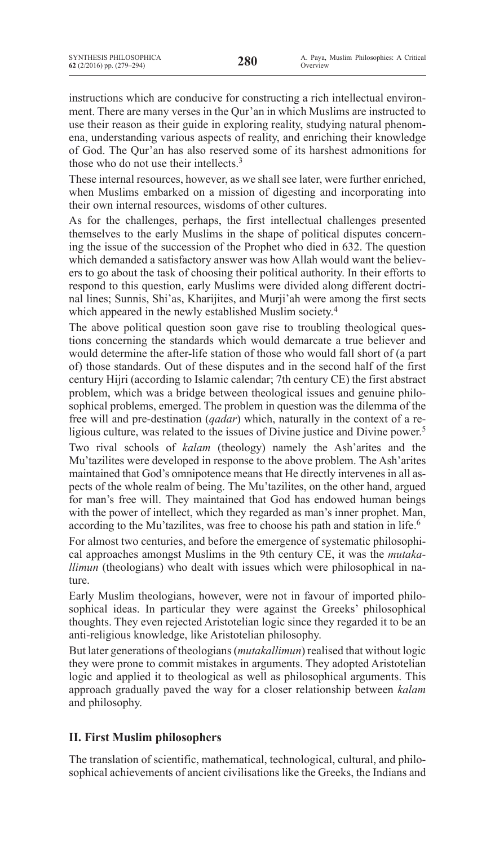instructions which are conducive for constructing a rich intellectual environment. There are many verses in the Qur'an in which Muslims are instructed to use their reason as their guide in exploring reality, studying natural phenomena, understanding various aspects of reality, and enriching their knowledge of God. The Qur'an has also reserved some of its harshest admonitions for those who do not use their intellects  $3$ 

These internal resources, however, as we shall see later, were further enriched, when Muslims embarked on a mission of digesting and incorporating into their own internal resources, wisdoms of other cultures.

As for the challenges, perhaps, the first intellectual challenges presented themselves to the early Muslims in the shape of political disputes concerning the issue of the succession of the Prophet who died in 632. The question which demanded a satisfactory answer was how Allah would want the believers to go about the task of choosing their political authority. In their efforts to respond to this question, early Muslims were divided along different doctrinal lines; Sunnis, Shi'as, Kharijites, and Murji'ah were among the first sects which appeared in the newly established Muslim society.<sup>4</sup>

The above political question soon gave rise to troubling theological questions concerning the standards which would demarcate a true believer and would determine the after-life station of those who would fall short of (a part of) those standards. Out of these disputes and in the second half of the first century Hijri (according to Islamic calendar; 7th century CE) the first abstract problem, which was a bridge between theological issues and genuine philosophical problems, emerged. The problem in question was the dilemma of the free will and pre-destination (*qadar*) which, naturally in the context of a religious culture, was related to the issues of Divine justice and Divine power.<sup>5</sup>

Two rival schools of *kalam* (theology) namely the Ash'arites and the Mu'tazilites were developed in response to the above problem. The Ash'arites maintained that God's omnipotence means that He directly intervenes in all aspects of the whole realm of being. The Mu'tazilites, on the other hand, argued for man's free will. They maintained that God has endowed human beings with the power of intellect, which they regarded as man's inner prophet. Man, according to the Mu'tazilites, was free to choose his path and station in life.<sup>6</sup>

For almost two centuries, and before the emergence of systematic philosophical approaches amongst Muslims in the 9th century CE, it was the *mutakallimun* (theologians) who dealt with issues which were philosophical in nature.

Early Muslim theologians, however, were not in favour of imported philosophical ideas. In particular they were against the Greeks' philosophical thoughts. They even rejected Aristotelian logic since they regarded it to be an anti-religious knowledge, like Aristotelian philosophy.

But later generations of theologians(*mutakallimun*) realised that without logic they were prone to commit mistakes in arguments. They adopted Aristotelian logic and applied it to theological as well as philosophical arguments. This approach gradually paved the way for a closer relationship between *kalam* and philosophy.

## **II. First Muslim philosophers**

The translation of scientific, mathematical, technological, cultural, and philosophical achievements of ancient civilisations like the Greeks, the Indians and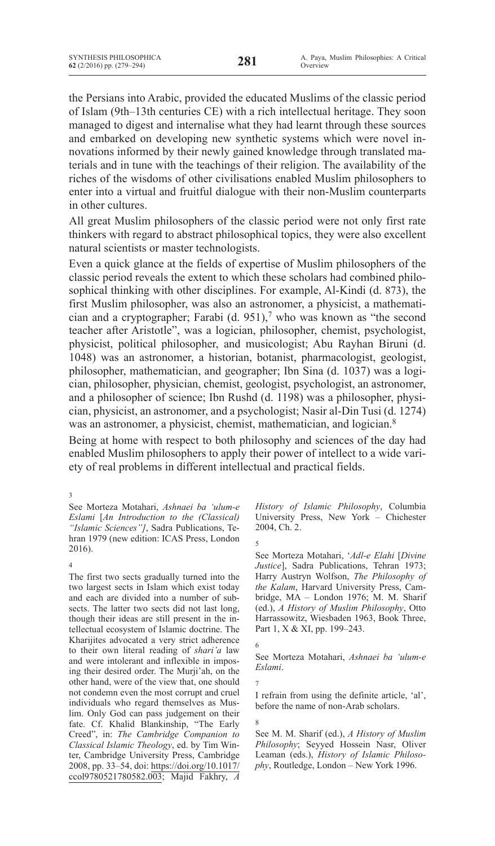the Persians into Arabic, provided the educated Muslims of the classic period of Islam (9th–13th centuries CE) with a rich intellectual heritage. They soon managed to digest and internalise what they had learnt through these sources and embarked on developing new synthetic systems which were novel innovations informed by their newly gained knowledge through translated materials and in tune with the teachings of their religion. The availability of the riches of the wisdoms of other civilisations enabled Muslim philosophers to enter into a virtual and fruitful dialogue with their non-Muslim counterparts in other cultures.

All great Muslim philosophers of the classic period were not only first rate thinkers with regard to abstract philosophical topics, they were also excellent natural scientists or master technologists.

Even a quick glance at the fields of expertise of Muslim philosophers of the classic period reveals the extent to which these scholars had combined philosophical thinking with other disciplines. For example, Al-Kindi (d. 873), the first Muslim philosopher, was also an astronomer, a physicist, a mathematician and a cryptographer; Farabi (d. 951),<sup>7</sup> who was known as "the second teacher after Aristotle", was a logician, philosopher, chemist, psychologist, physicist, political philosopher, and musicologist; Abu Rayhan Biruni (d. 1048) was an astronomer, a historian, botanist, pharmacologist, geologist, philosopher, mathematician, and geographer; Ibn Sina (d. 1037) was a logician, philosopher, physician, chemist, geologist, psychologist, an astronomer, and a philosopher of science; Ibn Rushd (d. 1198) was a philosopher, physician, physicist, an astronomer, and a psychologist; Nasir al-Din Tusi (d. 1274) was an astronomer, a physicist, chemist, mathematician, and logician.<sup>8</sup>

Being at home with respect to both philosophy and sciences of the day had enabled Muslim philosophers to apply their power of intellect to a wide variety of real problems in different intellectual and practical fields.

3

See Morteza Motahari, *Ashnaei ba 'ulum-e Eslami* [*An Introduction to the (Classical) "Islamic Sciences"]*, Sadra Publications, Tehran 1979 (new edition: ICAS Press, London 2016).

4

The first two sects gradually turned into the two largest sects in Islam which exist today and each are divided into a number of subsects. The latter two sects did not last long, though their ideas are still present in the intellectual ecosystem of Islamic doctrine. The Kharijites advocated a very strict adherence to their own literal reading of *shari'a* law and were intolerant and inflexible in imposing their desired order. The Murji'ah, on the other hand, were of the view that, one should not condemn even the most corrupt and cruel individuals who regard themselves as Muslim. Only God can pass judgement on their fate. Cf. Khalid Blankinship, "The Early Creed", in: *The Cambridge Companion to Classical Islamic Theology*, ed. by Tim Winter, Cambridge University Press, Cambridge 2008, pp. 33–54, doi: https://doi.org/10.1017/ [ccol9780521780582.003;](https://doi.org/10.1017/ccol9780521780582.003) Majid Fakhry, *A* 

*History of Islamic Philosophy*, Columbia University Press, New York – Chichester 2004, Ch. 2.

5

See Morteza Motahari, '*Adl-e Elahi* [*Divine Justice*], Sadra Publications, Tehran 1973; Harry Austryn Wolfson, *The Philosophy of the Kalam*, Harvard University Press, Cambridge, MA – London 1976; M. M. Sharif (ed.), *A History of Muslim Philosophy*, Otto Harrassowitz, Wiesbaden 1963, Book Three, Part 1, X & XI, pp. 199–243.

See Morteza Motahari, *Ashnaei ba 'ulum-e Eslami*.

7

I refrain from using the definite article, 'al', before the name of non-Arab scholars.

8

See M. M. Sharif (ed.), *A History of Muslim Philosophy*; Seyyed Hossein Nasr, Oliver Leaman (eds.), *History of Islamic Philosophy*, Routledge, London – New York 1996.

<sup>6</sup>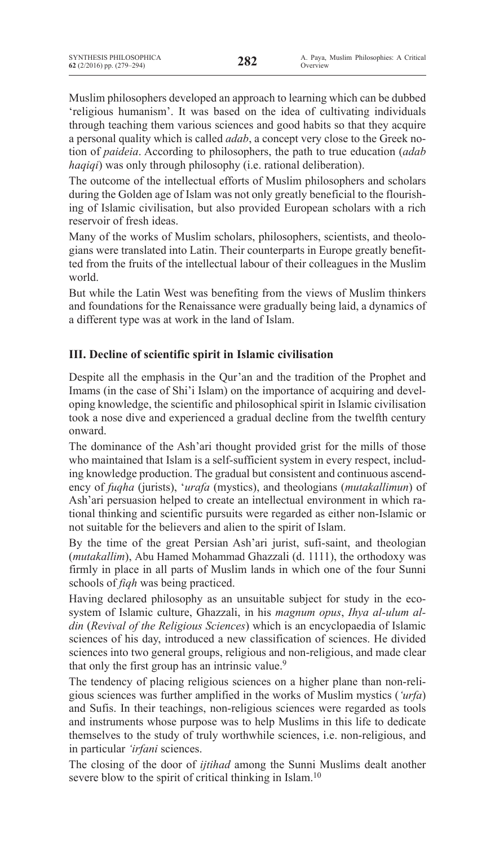Muslim philosophers developed an approach to learning which can be dubbed 'religious humanism'. It was based on the idea of cultivating individuals through teaching them various sciences and good habits so that they acquire a personal quality which is called *adab*, a concept very close to the Greek notion of *paideia*. According to philosophers, the path to true education (*adab haqiqi*) was only through philosophy (*i.e.* rational deliberation).

The outcome of the intellectual efforts of Muslim philosophers and scholars during the Golden age of Islam was not only greatly beneficial to the flourishing of Islamic civilisation, but also provided European scholars with a rich reservoir of fresh ideas.

Many of the works of Muslim scholars, philosophers, scientists, and theologians were translated into Latin. Their counterparts in Europe greatly benefitted from the fruits of the intellectual labour of their colleagues in the Muslim world.

But while the Latin West was benefiting from the views of Muslim thinkers and foundations for the Renaissance were gradually being laid, a dynamics of a different type was at work in the land of Islam.

## **III. Decline of scientific spirit in Islamic civilisation**

Despite all the emphasis in the Qur'an and the tradition of the Prophet and Imams (in the case of Shi'i Islam) on the importance of acquiring and developing knowledge, the scientific and philosophical spirit in Islamic civilisation took a nose dive and experienced a gradual decline from the twelfth century onward.

The dominance of the Ash'ari thought provided grist for the mills of those who maintained that Islam is a self-sufficient system in every respect, including knowledge production. The gradual but consistent and continuous ascendency of *fuqha* (jurists), '*urafa* (mystics), and theologians (*mutakallimun*) of Ash'ari persuasion helped to create an intellectual environment in which rational thinking and scientific pursuits were regarded as either non-Islamic or not suitable for the believers and alien to the spirit of Islam.

By the time of the great Persian Ash'ari jurist, sufi-saint, and theologian (*mutakallim*), Abu Hamed Mohammad Ghazzali (d. 1111), the orthodoxy was firmly in place in all parts of Muslim lands in which one of the four Sunni schools of *fiqh* was being practiced.

Having declared philosophy as an unsuitable subject for study in the ecosystem of Islamic culture, Ghazzali, in his *magnum opus*, *Ihya al-ulum aldin* (*Revival of the Religious Sciences*) which is an encyclopaedia of Islamic sciences of his day, introduced a new classification of sciences. He divided sciences into two general groups, religious and non-religious, and made clear that only the first group has an intrinsic value.<sup>9</sup>

The tendency of placing religious sciences on a higher plane than non-religious sciences was further amplified in the works of Muslim mystics (*'urfa*) and Sufis. In their teachings, non-religious sciences were regarded as tools and instruments whose purpose was to help Muslims in this life to dedicate themselves to the study of truly worthwhile sciences, i.e. non-religious, and in particular *'irfani* sciences.

The closing of the door of *ijtihad* among the Sunni Muslims dealt another severe blow to the spirit of critical thinking in Islam.<sup>10</sup>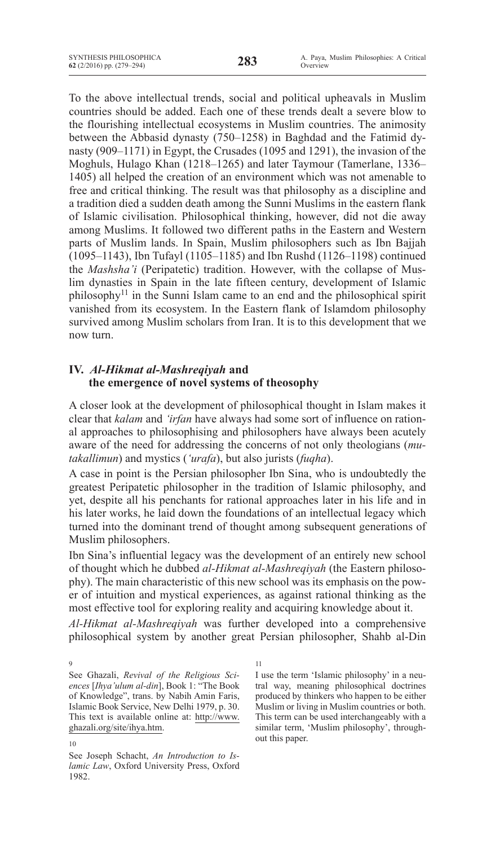To the above intellectual trends, social and political upheavals in Muslim countries should be added. Each one of these trends dealt a severe blow to the flourishing intellectual ecosystems in Muslim countries. The animosity between the Abbasid dynasty (750–1258) in Baghdad and the Fatimid dynasty (909–1171) in Egypt, the Crusades (1095 and 1291), the invasion of the Moghuls, Hulago Khan (1218–1265) and later Taymour (Tamerlane, 1336– 1405) all helped the creation of an environment which was not amenable to free and critical thinking. The result was that philosophy as a discipline and a tradition died a sudden death among the Sunni Muslims in the eastern flank of Islamic civilisation. Philosophical thinking, however, did not die away among Muslims. It followed two different paths in the Eastern and Western parts of Muslim lands. In Spain, Muslim philosophers such as Ibn Bajjah (1095–1143), Ibn Tufayl (1105–1185) and Ibn Rushd (1126–1198) continued the *Mashsha'i* (Peripatetic) tradition. However, with the collapse of Muslim dynasties in Spain in the late fifteen century, development of Islamic philosophy<sup>11</sup> in the Sunni Islam came to an end and the philosophical spirit vanished from its ecosystem. In the Eastern flank of Islamdom philosophy survived among Muslim scholars from Iran. It is to this development that we now turn.

## **IV.** *Al-Hikmat al-Mashreqiyah* **and the emergence of novel systems of theosophy**

A closer look at the development of philosophical thought in Islam makes it clear that *kalam* and *'irfan* have always had some sort of influence on rational approaches to philosophising and philosophers have always been acutely aware of the need for addressing the concerns of not only theologians (*mutakallimun*) and mystics (*'urafa*), but also jurists (*fuqha*).

A case in point is the Persian philosopher Ibn Sina, who is undoubtedly the greatest Peripatetic philosopher in the tradition of Islamic philosophy, and yet, despite all his penchants for rational approaches later in his life and in his later works, he laid down the foundations of an intellectual legacy which turned into the dominant trend of thought among subsequent generations of Muslim philosophers.

Ibn Sina's influential legacy was the development of an entirely new school of thought which he dubbed *al-Hikmat al-Mashreqiyah* (the Eastern philosophy). The main characteristic of this new school was its emphasis on the power of intuition and mystical experiences, as against rational thinking as the most effective tool for exploring reality and acquiring knowledge about it.

*Al-Hikmat al-Mashreqiyah* was further developed into a comprehensive philosophical system by another great Persian philosopher, Shahb al-Din

10

11

<sup>9</sup> See Ghazali, *Revival of the Religious Sciences* [*Ihya'ulum al-din*], Book 1: "The Book of Knowledge", trans. by Nabih Amin Faris, Islamic Book Service, New Delhi 1979, p. 30. This text is available online at: http://www. [ghazali.org/site/ihya.htm.](ttp://www.ghazali.org/site/ihya.htm)

See Joseph Schacht, *An Introduction to Islamic Law*, Oxford University Press, Oxford 1982.

I use the term 'Islamic philosophy' in a neutral way, meaning philosophical doctrines produced by thinkers who happen to be either Muslim or living in Muslim countries or both. This term can be used interchangeably with a similar term, 'Muslim philosophy', throughout this paper.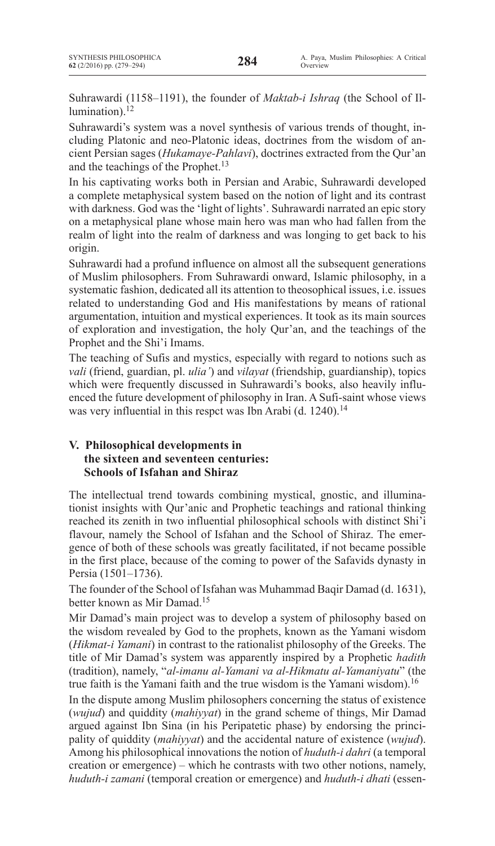Suhrawardi (1158–1191), the founder of *Maktab-i Ishraq* (the School of Illumination). $12$ 

Suhrawardi's system was a novel synthesis of various trends of thought, including Platonic and neo-Platonic ideas, doctrines from the wisdom of ancient Persian sages (*Hukamaye-Pahlavi*), doctrines extracted from the Qur'an and the teachings of the Prophet.<sup>13</sup>

In his captivating works both in Persian and Arabic, Suhrawardi developed a complete metaphysical system based on the notion of light and its contrast with darkness. God was the 'light of lights'. Suhrawardi narrated an epic story on a metaphysical plane whose main hero was man who had fallen from the realm of light into the realm of darkness and was longing to get back to his origin.

Suhrawardi had a profund influence on almost all the subsequent generations of Muslim philosophers. From Suhrawardi onward, Islamic philosophy, in a systematic fashion, dedicated all its attention to theosophical issues, i.e. issues related to understanding God and His manifestations by means of rational argumentation, intuition and mystical experiences. It took as its main sources of exploration and investigation, the holy Qur'an, and the teachings of the Prophet and the Shi'i Imams.

The teaching of Sufis and mystics, especially with regard to notions such as *vali* (friend, guardian, pl. *ulia'*) and *vilayat* (friendship, guardianship), topics which were frequently discussed in Suhrawardi's books, also heavily influenced the future development of philosophy in Iran. A Sufi-saint whose views was very influential in this respct was Ibn Arabi (d. 1240).<sup>14</sup>

## **V. Philosophical developments in   the sixteen and seventeen centuries: Schools of Isfahan and Shiraz**

The intellectual trend towards combining mystical, gnostic, and illuminationist insights with Qur'anic and Prophetic teachings and rational thinking reached its zenith in two influential philosophical schools with distinct Shi'i flavour, namely the School of Isfahan and the School of Shiraz. The emergence of both of these schools was greatly facilitated, if not became possible in the first place, because of the coming to power of the Safavids dynasty in Persia (1501–1736).

The founder of the School of Isfahan was Muhammad Baqir Damad (d. 1631), better known as Mir Damad.15

Mir Damad's main project was to develop a system of philosophy based on the wisdom revealed by God to the prophets, known as the Yamani wisdom (*Hikmat-i Yamani*) in contrast to the rationalist philosophy of the Greeks. The title of Mir Damad's system was apparently inspired by a Prophetic *hadith*  (tradition), namely, "*al-imanu al-Yamani va al-Hikmatu al-Yamaniyatu*" (the true faith is the Yamani faith and the true wisdom is the Yamani wisdom).<sup>16</sup>

In the dispute among Muslim philosophers concerning the status of existence (*wujud*) and quiddity (*mahiyyat*) in the grand scheme of things, Mir Damad argued against Ibn Sina (in his Peripatetic phase) by endorsing the principality of quiddity (*mahiyyat*) and the accidental nature of existence (*wujud*). Among his philosophical innovations the notion of *huduth-i dahri* (a temporal creation or emergence) – which he contrasts with two other notions, namely, *huduth-i zamani* (temporal creation or emergence) and *huduth-i dhati* (essen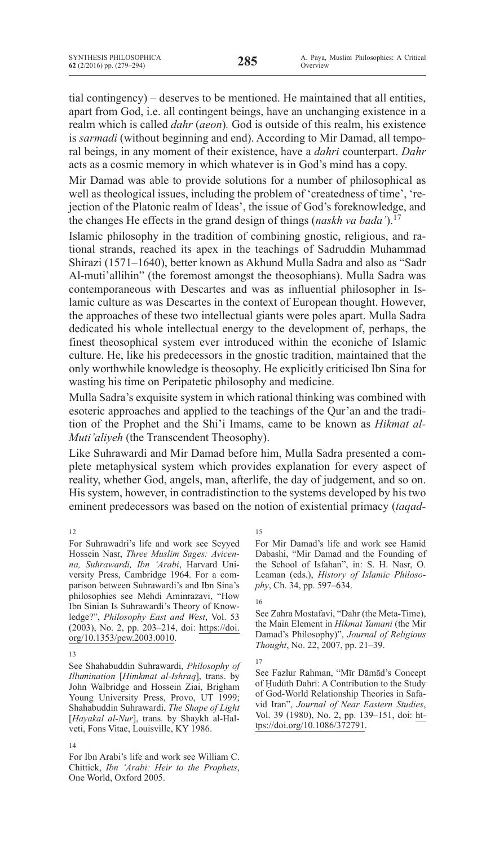tial contingency) – deserves to be mentioned. He maintained that all entities, apart from God, i.e. all contingent beings, have an unchanging existence in a realm which is called *dahr* (*aeon*)*.* God is outside of this realm, his existence is *sarmadi* (without beginning and end). According to Mir Damad, all temporal beings, in any moment of their existence, have a *dahri* counterpart. *Dahr* acts as a cosmic memory in which whatever is in God's mind has a copy.

Mir Damad was able to provide solutions for a number of philosophical as well as theological issues, including the problem of 'createdness of time', 'rejection of the Platonic realm of Ideas', the issue of God's foreknowledge, and the changes He effects in the grand design of things (*naskh va bada'*).<sup>17</sup>

Islamic philosophy in the tradition of combining gnostic, religious, and rational strands, reached its apex in the teachings of Sadruddin Muhammad Shirazi (1571–1640), better known as Akhund Mulla Sadra and also as "Sadr Al-muti'allihin" (the foremost amongst the theosophians). Mulla Sadra was contemporaneous with Descartes and was as influential philosopher in Islamic culture as was Descartes in the context of European thought. However, the approaches of these two intellectual giants were poles apart. Mulla Sadra dedicated his whole intellectual energy to the development of, perhaps, the finest theosophical system ever introduced within the econiche of Islamic culture. He, like his predecessors in the gnostic tradition, maintained that the only worthwhile knowledge is theosophy. He explicitly criticised Ibn Sina for wasting his time on Peripatetic philosophy and medicine.

Mulla Sadra's exquisite system in which rational thinking was combined with esoteric approaches and applied to the teachings of the Qur'an and the tradition of the Prophet and the Shi'i Imams, came to be known as *Hikmat al-Muti'aliyeh* (the Transcendent Theosophy).

Like Suhrawardi and Mir Damad before him, Mulla Sadra presented a complete metaphysical system which provides explanation for every aspect of reality, whether God, angels, man, afterlife, the day of judgement, and so on. His system, however, in contradistinction to the systems developed by his two eminent predecessors was based on the notion of existential primacy (*taqad-*

14

For Ibn Arabi's life and work see William C. Chittick, *Ibn 'Arabi: Heir to the Prophets*, One World, Oxford 2005.

### 15

For Mir Damad's life and work see Hamid Dabashi, "Mir Damad and the Founding of the School of Isfahan", in: S. H. Nasr, O. Leaman (eds.), *History of Islamic Philosophy*, Ch. 34, pp. 597–634.

See Zahra Mostafavi, "Dahr (the Meta-Time), the Main Element in *Hikmat Yamani* (the Mir Damad's Philosophy)", *Journal of Religious Thought*, No. 22, 2007, pp. 21–39.

17

<sup>12</sup>

For Suhrawadri's life and work see Seyyed Hossein Nasr, *Three Muslim Sages: Avicenna, Suhrawardi, Ibn 'Arabi*, Harvard University Press, Cambridge 1964. For a comparison between Suhrawardi's and Ibn Sina's philosophies see Mehdi Aminrazavi, "How Ibn Sinian Is Suhrawardi's Theory of Knowledge?", *Philosophy East and West*, Vol. 53 (2003), No. 2, pp. 203–214, doi: https://doi. [org/10.1353/pew.2003.0010.](https://doi.org/10.1353/pew.2003.0010)

<sup>13</sup>

See Shahabuddin Suhrawardi, *Philosophy of Illumination* [*Himkmat al-Ishraq*], trans. by John Walbridge and Hossein Ziai, Brigham Young University Press, Provo, UT 1999; Shahabuddin Suhrawardi, *The Shape of Light*  [*Hayakal al-Nur*], trans. by Shaykh al-Halveti, Fons Vitae, Louisville, KY 1986.

<sup>16</sup>

See Fazlur Rahman, "Mīr Dāmād's Concept of Ḥudūth Dahrī: A Contribution to the Study of God-World Relationship Theories in Safavid Iran", *Journal of Near Eastern Studies*, Vol. 39 (1980), No. 2, pp. 139–151, doi: ht[tps://doi.org/10.1086/372791.](https://doi.org/10.1086/372791)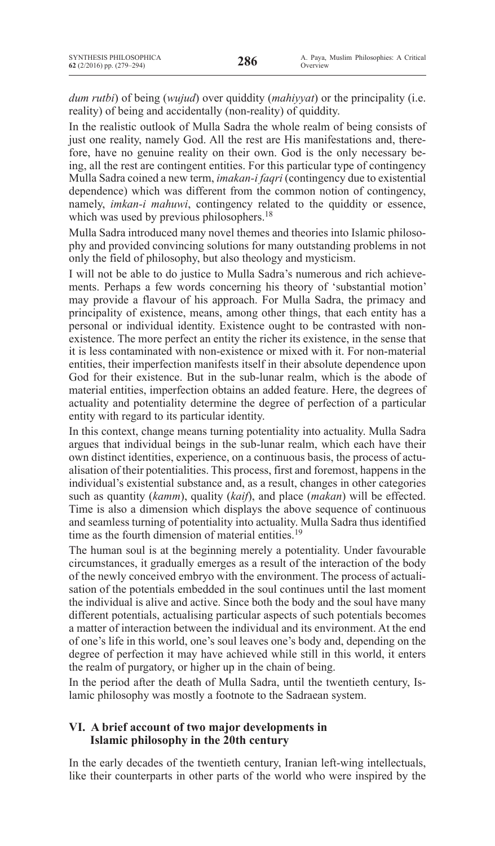*dum rutbi*) of being (*wujud*) over quiddity (*mahiyyat*) or the principality (i.e. reality) of being and accidentally (non-reality) of quiddity.

In the realistic outlook of Mulla Sadra the whole realm of being consists of just one reality, namely God. All the rest are His manifestations and, therefore, have no genuine reality on their own. God is the only necessary being, all the rest are contingent entities. For this particular type of contingency Mulla Sadra coined a new term, *imakan-i faqri* (contingency due to existential dependence) which was different from the common notion of contingency, namely, *imkan-i mahuwi*, contingency related to the quiddity or essence, which was used by previous philosophers.<sup>18</sup>

Mulla Sadra introduced many novel themes and theories into Islamic philosophy and provided convincing solutions for many outstanding problems in not only the field of philosophy, but also theology and mysticism.

I will not be able to do justice to Mulla Sadra's numerous and rich achievements. Perhaps a few words concerning his theory of 'substantial motion' may provide a flavour of his approach. For Mulla Sadra, the primacy and principality of existence, means, among other things, that each entity has a personal or individual identity. Existence ought to be contrasted with nonexistence. The more perfect an entity the richer its existence, in the sense that it is less contaminated with non-existence or mixed with it. For non-material entities, their imperfection manifests itself in their absolute dependence upon God for their existence. But in the sub-lunar realm, which is the abode of material entities, imperfection obtains an added feature. Here, the degrees of actuality and potentiality determine the degree of perfection of a particular entity with regard to its particular identity.

In this context, change means turning potentiality into actuality. Mulla Sadra argues that individual beings in the sub-lunar realm, which each have their own distinct identities, experience, on a continuous basis, the process of actualisation of their potentialities. This process, first and foremost, happens in the individual's existential substance and, as a result, changes in other categories such as quantity (*kamm*), quality (*kaif*), and place (*makan*) will be effected. Time is also a dimension which displays the above sequence of continuous and seamless turning of potentiality into actuality. Mulla Sadra thus identified time as the fourth dimension of material entities.<sup>19</sup>

The human soul is at the beginning merely a potentiality. Under favourable circumstances, it gradually emerges as a result of the interaction of the body of the newly conceived embryo with the environment. The process of actualisation of the potentials embedded in the soul continues until the last moment the individual is alive and active. Since both the body and the soul have many different potentials, actualising particular aspects of such potentials becomes a matter of interaction between the individual and its environment. At the end of one's life in this world, one's soul leaves one's body and, depending on the degree of perfection it may have achieved while still in this world, it enters the realm of purgatory, or higher up in the chain of being.

In the period after the death of Mulla Sadra, until the twentieth century, Islamic philosophy was mostly a footnote to the Sadraean system.

## **VI. A brief account of two major developments in Islamic philosophy in the 20th century**

In the early decades of the twentieth century, Iranian left-wing intellectuals, like their counterparts in other parts of the world who were inspired by the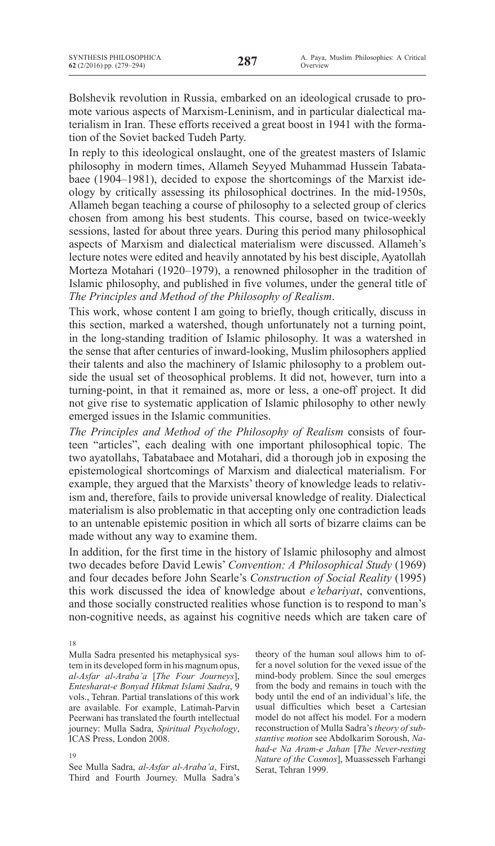Bolshevik revolution in Russia, embarked on an ideological crusade to promote various aspects of Marxism-Leninism, and in particular dialectical materialism in Iran. These efforts received a great boost in 1941 with the formation of the Soviet backed Tudeh Party.

In reply to this ideological onslaught, one of the greatest masters of Islamic philosophy in modern times, Allameh Seyyed Muhammad Hussein Tabatabaee (1904–1981), decided to expose the shortcomings of the Marxist ideology by critically assessing its philosophical doctrines. In the mid-1950s, Allameh began teaching a course of philosophy to a selected group of clerics chosen from among his best students. This course, based on twice-weekly sessions, lasted for about three years. During this period many philosophical aspects of Marxism and dialectical materialism were discussed. Allameh's lecture notes were edited and heavily annotated by his best disciple, Ayatollah Morteza Motahari (1920–1979), a renowned philosopher in the tradition of Islamic philosophy, and published in five volumes, under the general title of *The Principles and Method of the Philosophy of Realism*.

This work, whose content I am going to briefly, though critically, discuss in this section, marked a watershed, though unfortunately not a turning point, in the long-standing tradition of Islamic philosophy. It was a watershed in the sense that after centuries of inward-looking, Muslim philosophers applied their talents and also the machinery of Islamic philosophy to a problem outside the usual set of theosophical problems. It did not, however, turn into a turning-point, in that it remained as, more or less, a one-off project. It did not give rise to systematic application of Islamic philosophy to other newly emerged issues in the Islamic communities.

*The Principles and Method of the Philosophy of Realism* consists of fourteen "articles", each dealing with one important philosophical topic. The two ayatollahs, Tabatabaee and Motahari, did a thorough job in exposing the epistemological shortcomings of Marxism and dialectical materialism. For example, they argued that the Marxists' theory of knowledge leads to relativism and, therefore, fails to provide universal knowledge of reality. Dialectical materialism is also problematic in that accepting only one contradiction leads to an untenable epistemic position in which all sorts of bizarre claims can be made without any way to examine them.

In addition, for the first time in the history of Islamic philosophy and almost two decades before David Lewis' *Convention: A Philosophical Study* (1969) and four decades before John Searle's *Construction of Social Reality* (1995) this work discussed the idea of knowledge about *e'tebariyat*, conventions, and those socially constructed realities whose function is to respond to man's non-cognitive needs, as against his cognitive needs which are taken care of

18

Mulla Sadra presented his metaphysical system in its developed form in his magnum opus, *al-Asfar al-Araba'a* [*The Four Journeys*], *Entesharat-e Bonyad Hikmat Islami Sadra*, 9 vols., Tehran. Partial translations of this work are available. For example, Latimah-Parvin Peerwani has translated the fourth intellectual journey: Mulla Sadra, *Spiritual Psychology*, ICAS Press, London 2008.

19

See Mulla Sadra, *al-Asfar al-Araba'a*, First, Third and Fourth Journey. Mulla Sadra's theory of the human soul allows him to offer a novel solution for the vexed issue of the mind-body problem. Since the soul emerges from the body and remains in touch with the body until the end of an individual's life, the usual difficulties which beset a Cartesian model do not affect his model. For a modern reconstruction of Mulla Sadra's *theory of substantive motion* see Abdolkarim Soroush, *Nahad-e Na Aram-e Jahan* [*The Never-resting Nature of the Cosmos*], Muassesseh Farhangi Serat, Tehran 1999.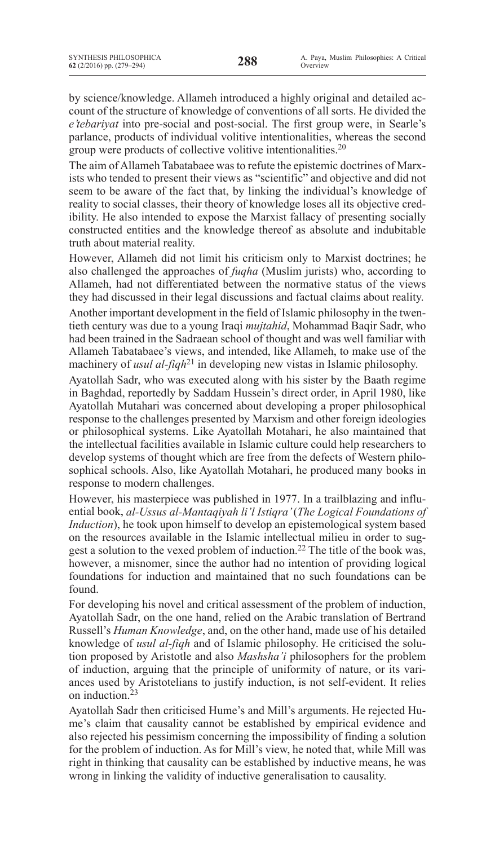by science/knowledge. Allameh introduced a highly original and detailed account of the structure of knowledge of conventions of all sorts. He divided the *e'tebariyat* into pre-social and post-social. The first group were, in Searle's parlance, products of individual volitive intentionalities, whereas the second group were products of collective volitive intentionalities.<sup>20</sup>

The aim of Allameh Tabatabaee was to refute the epistemic doctrines of Marxists who tended to present their views as "scientific" and objective and did not seem to be aware of the fact that, by linking the individual's knowledge of reality to social classes, their theory of knowledge loses all its objective credibility. He also intended to expose the Marxist fallacy of presenting socially constructed entities and the knowledge thereof as absolute and indubitable truth about material reality.

However, Allameh did not limit his criticism only to Marxist doctrines; he also challenged the approaches of *fuqha* (Muslim jurists) who, according to Allameh, had not differentiated between the normative status of the views they had discussed in their legal discussions and factual claims about reality.

Another important development in the field of Islamic philosophy in the twentieth century was due to a young Iraqi *mujtahid*, Mohammad Baqir Sadr, who had been trained in the Sadraean school of thought and was well familiar with Allameh Tabatabaee's views, and intended, like Allameh, to make use of the machinery of *usul al-fiqh*<sup>21</sup> in developing new vistas in Islamic philosophy.

Ayatollah Sadr, who was executed along with his sister by the Baath regime in Baghdad, reportedly by Saddam Hussein's direct order, in April 1980, like Ayatollah Mutahari was concerned about developing a proper philosophical response to the challenges presented by Marxism and other foreign ideologies or philosophical systems. Like Ayatollah Motahari, he also maintained that the intellectual facilities available in Islamic culture could help researchers to develop systems of thought which are free from the defects of Western philosophical schools. Also, like Ayatollah Motahari, he produced many books in response to modern challenges.

However, his masterpiece was published in 1977. In a trailblazing and influential book, *al-Ussus al-Mantaqiyah li'l Istiqra'* (*The Logical Foundations of Induction*), he took upon himself to develop an epistemological system based on the resources available in the Islamic intellectual milieu in order to suggest a solution to the vexed problem of induction.<sup>22</sup> The title of the book was, however, a misnomer, since the author had no intention of providing logical foundations for induction and maintained that no such foundations can be found.

For developing his novel and critical assessment of the problem of induction, Ayatollah Sadr, on the one hand, relied on the Arabic translation of Bertrand Russell's *Human Knowledge*, and, on the other hand, made use of his detailed knowledge of *usul al-fiqh* and of Islamic philosophy. He criticised the solution proposed by Aristotle and also *Mashsha'i* philosophers for the problem of induction, arguing that the principle of uniformity of nature, or its variances used by Aristotelians to justify induction, is not self-evident. It relies on induction.23

Ayatollah Sadr then criticised Hume's and Mill's arguments. He rejected Hume's claim that causality cannot be established by empirical evidence and also rejected his pessimism concerning the impossibility of finding a solution for the problem of induction. As for Mill's view, he noted that, while Mill was right in thinking that causality can be established by inductive means, he was wrong in linking the validity of inductive generalisation to causality.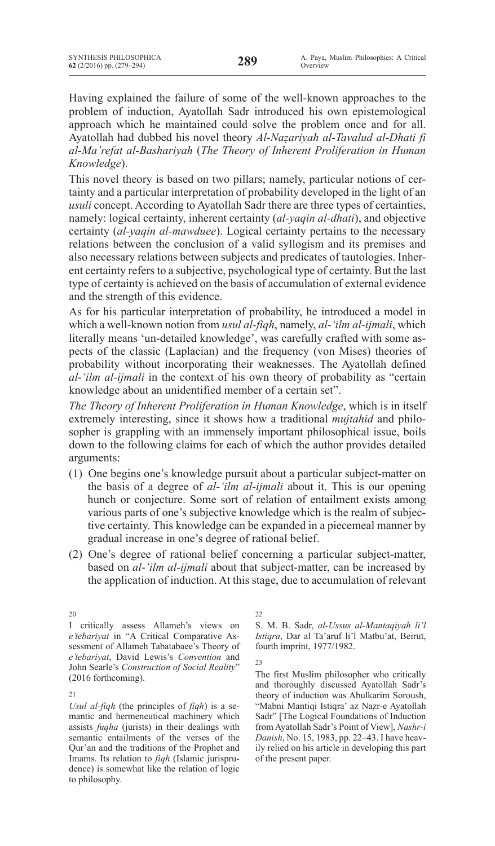Having explained the failure of some of the well-known approaches to the problem of induction, Ayatollah Sadr introduced his own epistemological approach which he maintained could solve the problem once and for all. Ayatollah had dubbed his novel theory *Al-Naẓariyah al-Tavalud al-Dhati fi al-Ma'refat al-Bashariyah* (*The Theory of Inherent Proliferation in Human Knowledge*).

This novel theory is based on two pillars; namely, particular notions of certainty and a particular interpretation of probability developed in the light of an *usuli* concept. According to Ayatollah Sadr there are three types of certainties, namely: logical certainty, inherent certainty (*al-yaqin al-dhati*), and objective certainty (*al-yaqin al-mawduee*). Logical certainty pertains to the necessary relations between the conclusion of a valid syllogism and its premises and also necessary relations between subjects and predicates of tautologies. Inherent certainty refers to a subjective, psychological type of certainty. But the last type of certainty is achieved on the basis of accumulation of external evidence and the strength of this evidence.

As for his particular interpretation of probability, he introduced a model in which a well-known notion from *usul al-fiqh*, namely, *al*-*'ilm al-ijmali*, which literally means 'un-detailed knowledge', was carefully crafted with some aspects of the classic (Laplacian) and the frequency (von Mises) theories of probability without incorporating their weaknesses. The Ayatollah defined *al*-*'ilm al-ijmali* in the context of his own theory of probability as "certain knowledge about an unidentified member of a certain set".

*The Theory of Inherent Proliferation in Human Knowledge*, which is in itself extremely interesting, since it shows how a traditional *mujtahid* and philosopher is grappling with an immensely important philosophical issue, boils down to the following claims for each of which the author provides detailed arguments:

- (1) One begins one's knowledge pursuit about a particular subject-matter on the basis of a degree of *al*-*'ilm al-ijmali* about it. This is our opening hunch or conjecture. Some sort of relation of entailment exists among various parts of one's subjective knowledge which is the realm of subjective certainty. This knowledge can be expanded in a piecemeal manner by gradual increase in one's degree of rational belief.
- (2) One's degree of rational belief concerning a particular subject-matter, based on *al*-*'ilm al-ijmali* about that subject-matter, can be increased by the application of induction. At this stage, due to accumulation of relevant

21

*Usul al-fiqh* (the principles of *fiqh*) is a semantic and hermeneutical machinery which assists *fuqha* (jurists) in their dealings with semantic entailments of the verses of the Qur'an and the traditions of the Prophet and Imams. Its relation to *fiqh* (Islamic jurisprudence) is somewhat like the relation of logic to philosophy.

 $22$ 

S. M. B. Sadr, *al-Ussus al-Mantaqiyah li'l Istiqra*, Dar al Ta'aruf li'l Matbu'at, Beirut, fourth imprint, 1977/1982.

23

The first Muslim philosopher who critically and thoroughly discussed Ayatollah Sadr's theory of induction was Abulkarim Soroush, "Mabni Mantiqi Istiqra' az Naẓr-e Ayatollah Sadr" [The Logical Foundations of Induction fromAyatollah Sadr's Point of View], *Nashr-i Danish*, No. 15, 1983, pp. 22–43. I have heavily relied on his article in developing this part of the present paper.

<sup>20</sup> I critically assess Allameh's views on *e'tebariyat* in "A Critical Comparative Assessment of Allameh Tabatabaee's Theory of *e'tebariyat*, David Lewis's *Convention* and John Searle's *Construction of Social Reality*" (2016 forthcoming).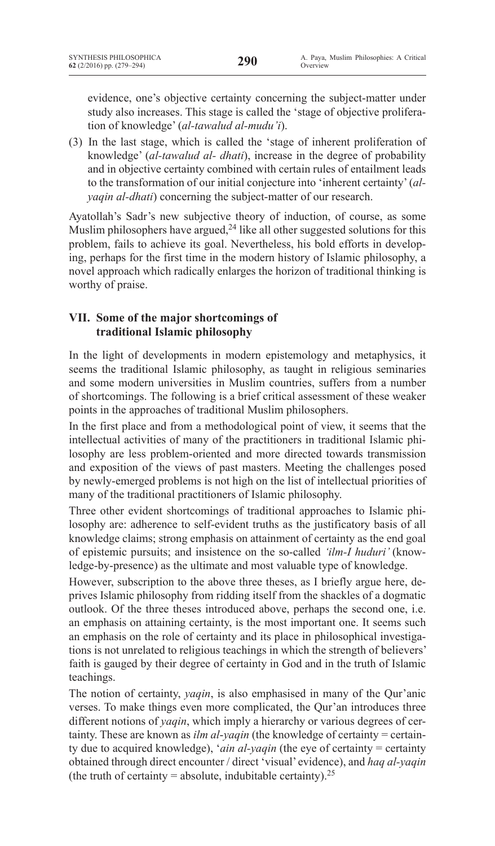evidence, one's objective certainty concerning the subject-matter under study also increases. This stage is called the 'stage of objective proliferation of knowledge' (*al-tawalud al-mudu'i*).

(3) In the last stage, which is called the 'stage of inherent proliferation of knowledge' (*al-tawalud al- dhati*), increase in the degree of probability and in objective certainty combined with certain rules of entailment leads to the transformation of our initial conjecture into 'inherent certainty'(*alyaqin al-dhati*) concerning the subject-matter of our research.

Ayatollah's Sadr's new subjective theory of induction, of course, as some Muslim philosophers have argued, $24$  like all other suggested solutions for this problem, fails to achieve its goal. Nevertheless, his bold efforts in developing, perhaps for the first time in the modern history of Islamic philosophy, a novel approach which radically enlarges the horizon of traditional thinking is worthy of praise.

## **VII. Some of the major shortcomings of traditional Islamic philosophy**

In the light of developments in modern epistemology and metaphysics, it seems the traditional Islamic philosophy, as taught in religious seminaries and some modern universities in Muslim countries, suffers from a number of shortcomings. The following is a brief critical assessment of these weaker points in the approaches of traditional Muslim philosophers.

In the first place and from a methodological point of view, it seems that the intellectual activities of many of the practitioners in traditional Islamic philosophy are less problem-oriented and more directed towards transmission and exposition of the views of past masters. Meeting the challenges posed by newly-emerged problems is not high on the list of intellectual priorities of many of the traditional practitioners of Islamic philosophy.

Three other evident shortcomings of traditional approaches to Islamic philosophy are: adherence to self-evident truths as the justificatory basis of all knowledge claims; strong emphasis on attainment of certainty as the end goal of epistemic pursuits; and insistence on the so-called *'ilm-I huduri'* (knowledge-by-presence) as the ultimate and most valuable type of knowledge.

However, subscription to the above three theses, as I briefly argue here, deprives Islamic philosophy from ridding itself from the shackles of a dogmatic outlook. Of the three theses introduced above, perhaps the second one, i.e. an emphasis on attaining certainty, is the most important one. It seems such an emphasis on the role of certainty and its place in philosophical investigations is not unrelated to religious teachings in which the strength of believers' faith is gauged by their degree of certainty in God and in the truth of Islamic teachings.

The notion of certainty, *yaqin*, is also emphasised in many of the Qur'anic verses. To make things even more complicated, the Qur'an introduces three different notions of *yaqin*, which imply a hierarchy or various degrees of certainty. These are known as *ilm al*-*yaqin* (the knowledge of certainty = certainty due to acquired knowledge), '*ain al-yaqin* (the eye of certainty = certainty obtained through direct encounter / direct 'visual' evidence), and *haq al-yaqin*  (the truth of certainty = absolute, indubitable certainty).<sup>25</sup>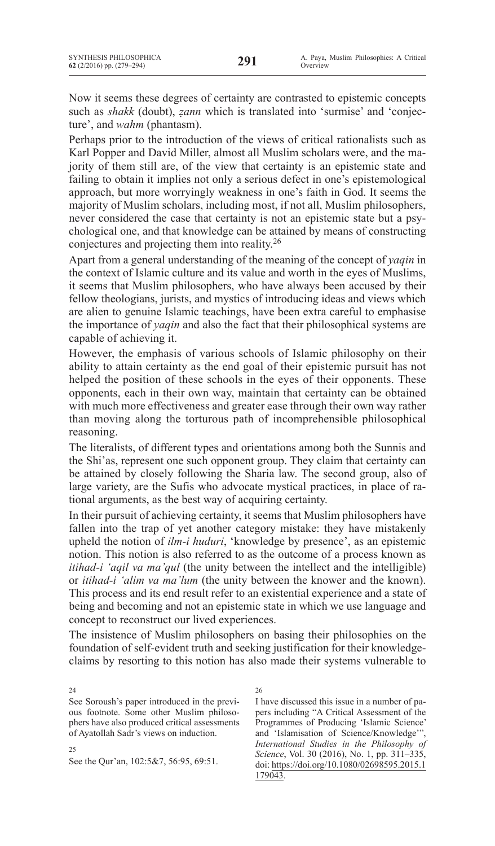Now it seems these degrees of certainty are contrasted to epistemic concepts such as *shakk* (doubt), *zann* which is translated into 'surmise' and 'conjecture', and *wahm* (phantasm).

Perhaps prior to the introduction of the views of critical rationalists such as Karl Popper and David Miller, almost all Muslim scholars were, and the majority of them still are, of the view that certainty is an epistemic state and failing to obtain it implies not only a serious defect in one's epistemological approach, but more worryingly weakness in one's faith in God. It seems the majority of Muslim scholars, including most, if not all, Muslim philosophers, never considered the case that certainty is not an epistemic state but a psychological one, and that knowledge can be attained by means of constructing conjectures and projecting them into reality.<sup>26</sup>

Apart from a general understanding of the meaning of the concept of *yaqin* in the context of Islamic culture and its value and worth in the eyes of Muslims, it seems that Muslim philosophers, who have always been accused by their fellow theologians, jurists, and mystics of introducing ideas and views which are alien to genuine Islamic teachings, have been extra careful to emphasise the importance of *yaqin* and also the fact that their philosophical systems are capable of achieving it.

However, the emphasis of various schools of Islamic philosophy on their ability to attain certainty as the end goal of their epistemic pursuit has not helped the position of these schools in the eyes of their opponents. These opponents, each in their own way, maintain that certainty can be obtained with much more effectiveness and greater ease through their own way rather than moving along the torturous path of incomprehensible philosophical reasoning.

The literalists, of different types and orientations among both the Sunnis and the Shi'as, represent one such opponent group. They claim that certainty can be attained by closely following the Sharia law. The second group, also of large variety, are the Sufis who advocate mystical practices, in place of rational arguments, as the best way of acquiring certainty.

In their pursuit of achieving certainty, it seems that Muslim philosophers have fallen into the trap of yet another category mistake: they have mistakenly upheld the notion of *ilm-i huduri*, 'knowledge by presence', as an epistemic notion. This notion is also referred to as the outcome of a process known as *itihad-i 'aqil va ma'qul* (the unity between the intellect and the intelligible) or *itihad-i 'alim va ma'lum* (the unity between the knower and the known). This process and its end result refer to an existential experience and a state of being and becoming and not an epistemic state in which we use language and concept to reconstruct our lived experiences.

The insistence of Muslim philosophers on basing their philosophies on the foundation of self-evident truth and seeking justification for their knowledgeclaims by resorting to this notion has also made their systems vulnerable to

24 See Soroush's paper introduced in the previous footnote. Some other Muslim philosophers have also produced critical assessments of Ayatollah Sadr's views on induction.

26

I have discussed this issue in a number of papers including "A Critical Assessment of the Programmes of Producing 'Islamic Science' and 'Islamisation of Science/Knowledge'" *International Studies in the Philosophy of Science*, Vol. 30 (2016), No. 1, pp. 311–335, doi: [https://doi.org/10.1080/02698595.2015.1](https://doi.org/10.1080/02698595.2015.1179043) 179043.

25

See the Qur'an, 102:5&7, 56:95, 69:51.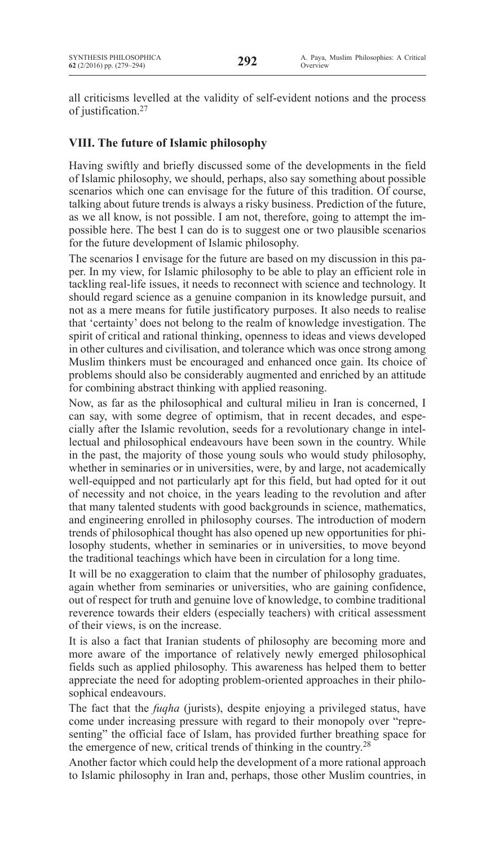all criticisms levelled at the validity of self-evident notions and the process of justification.27

## **VIII. The future of Islamic philosophy**

Having swiftly and briefly discussed some of the developments in the field of Islamic philosophy, we should, perhaps, also say something about possible scenarios which one can envisage for the future of this tradition. Of course, talking about future trends is always a risky business. Prediction of the future, as we all know, is not possible. I am not, therefore, going to attempt the impossible here. The best I can do is to suggest one or two plausible scenarios for the future development of Islamic philosophy.

The scenarios I envisage for the future are based on my discussion in this paper. In my view, for Islamic philosophy to be able to play an efficient role in tackling real-life issues, it needs to reconnect with science and technology. It should regard science as a genuine companion in its knowledge pursuit, and not as a mere means for futile justificatory purposes. It also needs to realise that 'certainty' does not belong to the realm of knowledge investigation. The spirit of critical and rational thinking, openness to ideas and views developed in other cultures and civilisation, and tolerance which was once strong among Muslim thinkers must be encouraged and enhanced once gain. Its choice of problems should also be considerably augmented and enriched by an attitude for combining abstract thinking with applied reasoning.

Now, as far as the philosophical and cultural milieu in Iran is concerned, I can say, with some degree of optimism, that in recent decades, and especially after the Islamic revolution, seeds for a revolutionary change in intellectual and philosophical endeavours have been sown in the country. While in the past, the majority of those young souls who would study philosophy, whether in seminaries or in universities, were, by and large, not academically well-equipped and not particularly apt for this field, but had opted for it out of necessity and not choice, in the years leading to the revolution and after that many talented students with good backgrounds in science, mathematics, and engineering enrolled in philosophy courses. The introduction of modern trends of philosophical thought has also opened up new opportunities for philosophy students, whether in seminaries or in universities, to move beyond the traditional teachings which have been in circulation for a long time.

It will be no exaggeration to claim that the number of philosophy graduates, again whether from seminaries or universities, who are gaining confidence, out of respect for truth and genuine love of knowledge, to combine traditional reverence towards their elders (especially teachers) with critical assessment of their views, is on the increase.

It is also a fact that Iranian students of philosophy are becoming more and more aware of the importance of relatively newly emerged philosophical fields such as applied philosophy. This awareness has helped them to better appreciate the need for adopting problem-oriented approaches in their philosophical endeavours.

The fact that the *fuqha* (jurists), despite enjoying a privileged status, have come under increasing pressure with regard to their monopoly over "representing" the official face of Islam, has provided further breathing space for the emergence of new, critical trends of thinking in the country.28

Another factor which could help the development of a more rational approach to Islamic philosophy in Iran and, perhaps, those other Muslim countries, in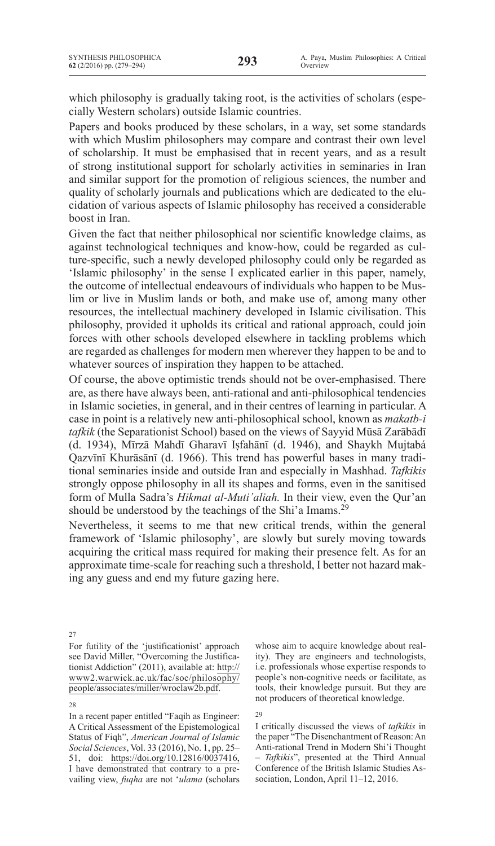which philosophy is gradually taking root, is the activities of scholars (especially Western scholars) outside Islamic countries.

Papers and books produced by these scholars, in a way, set some standards with which Muslim philosophers may compare and contrast their own level of scholarship. It must be emphasised that in recent years, and as a result of strong institutional support for scholarly activities in seminaries in Iran and similar support for the promotion of religious sciences, the number and quality of scholarly journals and publications which are dedicated to the elucidation of various aspects of Islamic philosophy has received a considerable boost in Iran.

Given the fact that neither philosophical nor scientific knowledge claims, as against technological techniques and know-how, could be regarded as culture-specific, such a newly developed philosophy could only be regarded as 'Islamic philosophy' in the sense I explicated earlier in this paper, namely, the outcome of intellectual endeavours of individuals who happen to be Muslim or live in Muslim lands or both, and make use of, among many other resources, the intellectual machinery developed in Islamic civilisation. This philosophy, provided it upholds its critical and rational approach, could join forces with other schools developed elsewhere in tackling problems which are regarded as challenges for modern men wherever they happen to be and to whatever sources of inspiration they happen to be attached.

Of course, the above optimistic trends should not be over-emphasised. There are, as there have always been, anti-rational and anti-philosophical tendencies in Islamic societies, in general, and in their centres of learning in particular. A case in point is a relatively new anti-philosophical school, known as *makatb-i tafkik* (the Separationist School) based on the views of Sayyid Mūsā Zarābādī (d. 1934), Mīrzā Mahdī Gharavī Iṣfahānī (d. 1946), and Shaykh Mujtabá Qazvīnī Khurāsānī (d. 1966). This trend has powerful bases in many traditional seminaries inside and outside Iran and especially in Mashhad. *Tafkikis* strongly oppose philosophy in all its shapes and forms, even in the sanitised form of Mulla Sadra's *Hikmat al-Muti'aliah.* In their view, even the Qur'an should be understood by the teachings of the Shi'a Imams.<sup>29</sup>

Nevertheless, it seems to me that new critical trends, within the general framework of 'Islamic philosophy', are slowly but surely moving towards acquiring the critical mass required for making their presence felt. As for an approximate time-scale for reaching such a threshold, I better not hazard making any guess and end my future gazing here.

For futility of the 'justificationist' approach see David Miller, "Overcoming the Justificationist Addiction" (2011), available at: http:// [www2.warwick.ac.uk/fac/soc/philosophy/](http://www2.warwick.ac.uk/fac/soc/philosophy/people/associates/miller/wroclaw2b.pdf) people/associates/miller/wroclaw2b.pdf.

28

27

In a recent paper entitled "Faqih as Engineer: A Critical Assessment of the Epistemological Status of Fiqh", *American Journal of Islamic Social Sciences*, Vol. 33 (2016), No. 1, pp. 25– 51, doi: [https://doi.org/10.12816/0037416,](https://doi.org/10.12816/0037416) I have demonstrated that contrary to a prevailing view, *fuqha* are not '*ulama* (scholars

whose aim to acquire knowledge about reality). They are engineers and technologists, i.e. professionals whose expertise responds to people's non-cognitive needs or facilitate, as tools, their knowledge pursuit. But they are not producers of theoretical knowledge.

29

I critically discussed the views of *tafkikis* in the paper "The Disenchantment of Reason:An Anti-rational Trend in Modern Shi'i Thought – *Tafkikis*", presented at the Third Annual Conference of the British Islamic Studies Association, London, April 11–12, 2016.